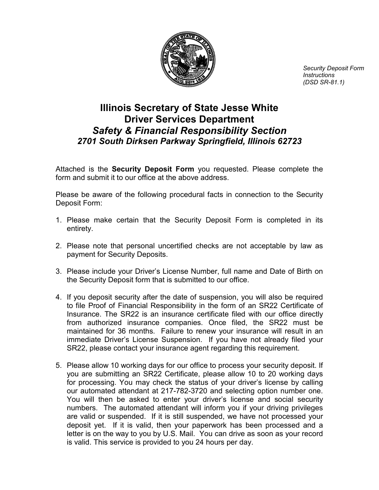

*Security Deposit Form Instructions (DSD SR-81.1)*

## **Illinois Secretary of State Jesse White Driver Services Department** *Safety & Financial Responsibility Section 2701 South Dirksen Parkway Springfield, Illinois 62723*

Attached is the **Security Deposit Form** you requested. Please complete the form and submit it to our office at the above address.

Please be aware of the following procedural facts in connection to the Security Deposit Form:

- 1. Please make certain that the Security Deposit Form is completed in its entirety.
- 2. Please note that personal uncertified checks are not acceptable by law as payment for Security Deposits.
- 3. Please include your Driver's License Number, full name and Date of Birth on the Security Deposit form that is submitted to our office.
- 4. If you deposit security after the date of suspension, you will also be required to file Proof of Financial Responsibility in the form of an SR22 Certificate of Insurance. The SR22 is an insurance certificate filed with our office directly from authorized insurance companies. Once filed, the SR22 must be maintained for 36 months. Failure to renew your insurance will result in an immediate Driver's License Suspension. If you have not already filed your SR22, please contact your insurance agent regarding this requirement.
- 5. Please allow 10 working days for our office to process your security deposit. If you are submitting an SR22 Certificate, please allow 10 to 20 working days for processing. You may check the status of your driver's license by calling our automated attendant at 217-782-3720 and selecting option number one. You will then be asked to enter your driver's license and social security numbers. The automated attendant will inform you if your driving privileges are valid or suspended. If it is still suspended, we have not processed your deposit yet. If it is valid, then your paperwork has been processed and a letter is on the way to you by U.S. Mail. You can drive as soon as your record is valid. This service is provided to you 24 hours per day.